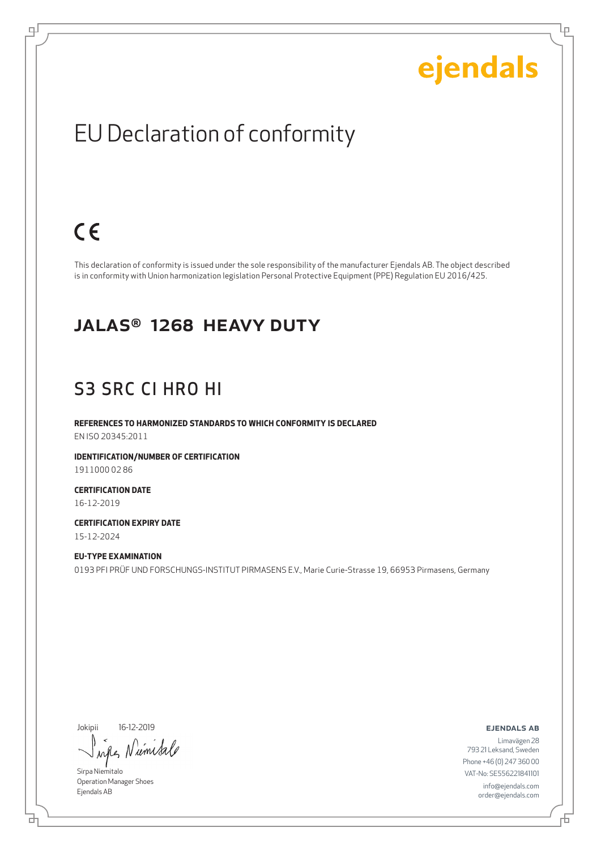Ļμ

### EU Declaration of conformity

### $C \in$

டி

This declaration of conformity is issued under the sole responsibility of the manufacturer Ejendals AB. The object described is in conformity with Union harmonization legislation Personal Protective Equipment (PPE) Regulation EU 2016/425.

#### JALAS® 1268 HEAVY DUTY

#### S3 SRC CI HRO HI

**REFERENCES TO HARMONIZED STANDARDS TO WHICH CONFORMITY IS DECLARED** EN ISO 20345:2011

**IDENTIFICATION/NUMBER OF CERTIFICATION** 1911000 02 86

**CERTIFICATION DATE** 16-12-2019

**CERTIFICATION EXPIRY DATE** 15-12-2024

**EU-TYPE EXAMINATION** 0193 PFI PRÜF UND FORSCHUNGS-INSTITUT PIRMASENS E.V., Marie Curie-Strasse 19, 66953 Pirmasens, Germany

Jokipii 16-12-2019

umis ru

Sirpa Niemitalo Operation Manager Shoes Ejendals AB

브

ejendals ab

舌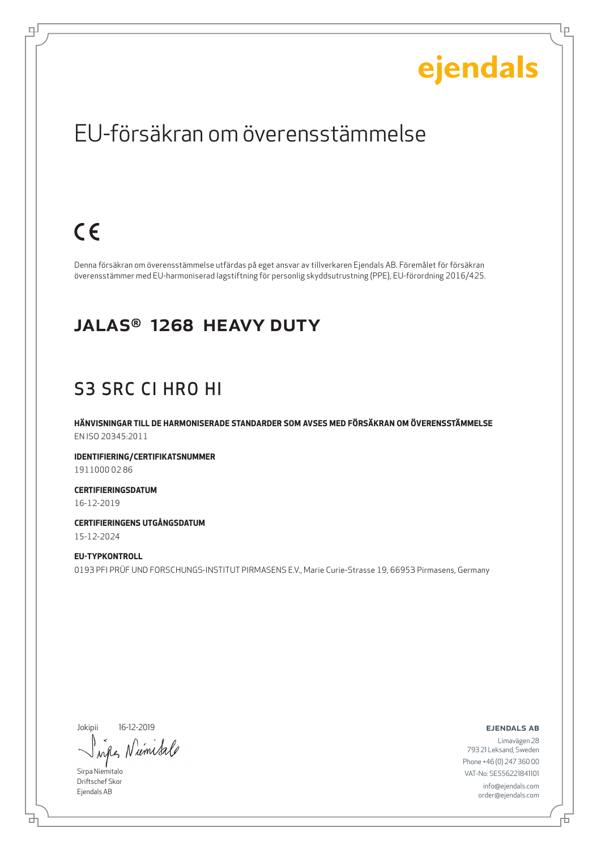Ļμ

### EU-försäkran om överensstämmelse

### $C \in$

டி

Denna försäkran om överensstämmelse utfärdas på eget ansvar av tillverkaren Ejendals AB. Föremålet för försäkran överensstämmer med EU-harmoniserad lagstiftning för personlig skyddsutrustning (PPE), EU-förordning 2016/425.

#### JALAS® 1268 HEAVY DUTY

#### S3 SRC CI HRO HI

**HÄNVISNINGAR TILL DE HARMONISERADE STANDARDER SOM AVSES MED FÖRSÄKRAN OM ÖVERENSSTÄMMELSE** EN ISO 20345:2011

**IDENTIFIERING/CERTIFIKATSNUMMER** 1911000 02 86

**CERTIFIERINGSDATUM** 16-12-2019

**CERTIFIERINGENS UTGÅNGSDATUM** 15-12-2024

**EU-TYPKONTROLL** 0193 PFI PRÜF UND FORSCHUNGS-INSTITUT PIRMASENS E.V., Marie Curie-Strasse 19, 66953 Pirmasens, Germany

Jokipii 16-12-2019

Niemisa when

Sirpa Niemitalo Driftschef Skor Ejendals AB

브

ejendals ab

Limavägen 28 793 21 Leksand, Sweden Phone +46 (0) 247 360 00 VAT-No: SE556221841101 info@ejendals.com order@ejendals.com

舌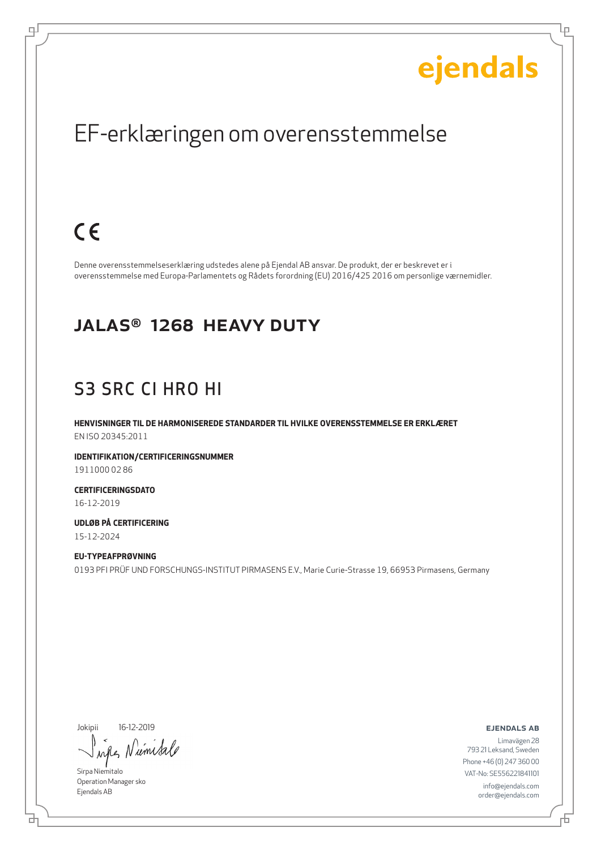Ļμ

### EF-erklæringen om overensstemmelse

### $C \in$

டி

Denne overensstemmelseserklæring udstedes alene på Ejendal AB ansvar. De produkt, der er beskrevet er i overensstemmelse med Europa-Parlamentets og Rådets forordning (EU) 2016/425 2016 om personlige værnemidler.

#### JALAS® 1268 HEAVY DUTY

### S3 SRC CI HRO HI

**HENVISNINGER TIL DE HARMONISEREDE STANDARDER TIL HVILKE OVERENSSTEMMELSE ER ERKLÆRET** EN ISO 20345:2011

**IDENTIFIKATION/CERTIFICERINGSNUMMER** 1911000 02 86

**CERTIFICERINGSDATO** 16-12-2019

**UDLØB PÅ CERTIFICERING** 15-12-2024

**EU-TYPEAFPRØVNING** 0193 PFI PRÜF UND FORSCHUNGS-INSTITUT PIRMASENS E.V., Marie Curie-Strasse 19, 66953 Pirmasens, Germany

Jokipii 16-12-2019

ums  $\lambda \alpha \ell$ 

Sirpa Niemitalo Operation Manager sko Ejendals AB

б

ejendals ab

舌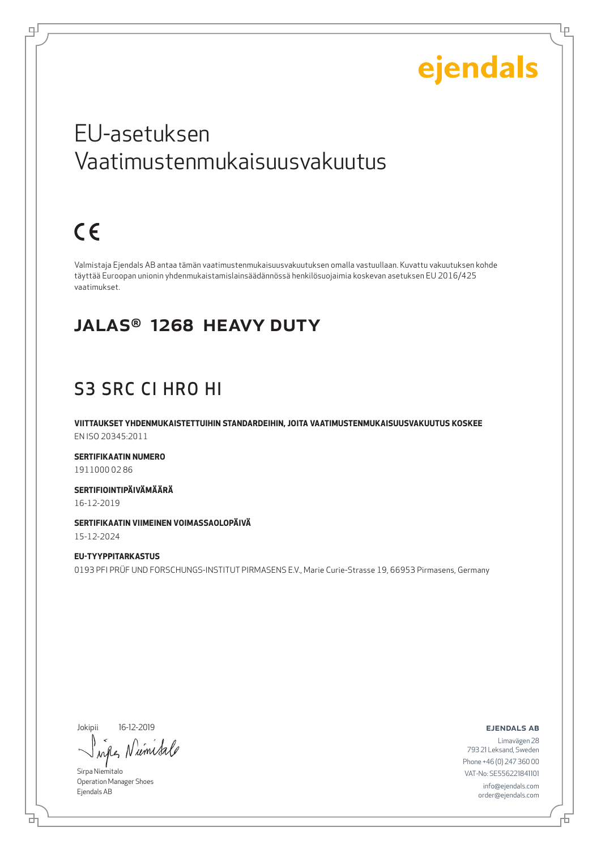Lр

### EU-asetuksen Vaatimustenmukaisuusvakuutus

## $C \in$

டி

Valmistaja Ejendals AB antaa tämän vaatimustenmukaisuusvakuutuksen omalla vastuullaan. Kuvattu vakuutuksen kohde täyttää Euroopan unionin yhdenmukaistamislainsäädännössä henkilösuojaimia koskevan asetuksen EU 2016/425 vaatimukset.

#### JALAS® 1268 HEAVY DUTY

### S3 SRC CI HRO HI

**VIITTAUKSET YHDENMUKAISTETTUIHIN STANDARDEIHIN, JOITA VAATIMUSTENMUKAISUUSVAKUUTUS KOSKEE** EN ISO 20345:2011

**SERTIFIKAATIN NUMERO** 1911000 02 86

**SERTIFIOINTIPÄIVÄMÄÄRÄ**

16-12-2019

**SERTIFIKAATIN VIIMEINEN VOIMASSAOLOPÄIVÄ**

15-12-2024

**EU-TYYPPITARKASTUS** 0193 PFI PRÜF UND FORSCHUNGS-INSTITUT PIRMASENS E.V., Marie Curie-Strasse 19, 66953 Pirmasens, Germany

Jokipii 16-12-2019

umsa  $\lambda$ all

Sirpa Niemitalo Operation Manager Shoes Ejendals AB

ejendals ab

Đ

б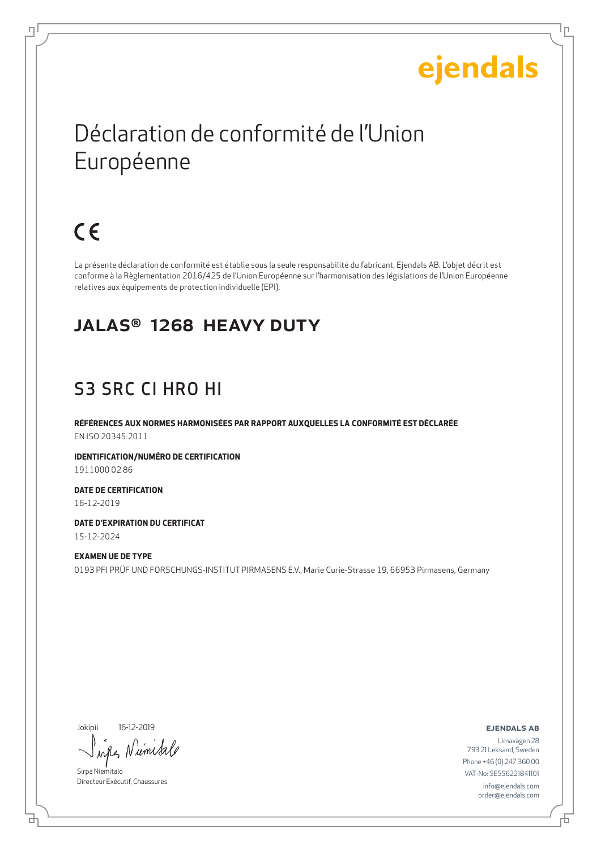Lр

## Déclaration de conformité de l'Union Européenne

## $C \in$

டி

La présente déclaration de conformité est établie sous la seule responsabilité du fabricant, Ejendals AB. L'objet décrit est conforme à la Règlementation 2016/425 de l'Union Européenne sur l'harmonisation des législations de l'Union Européenne relatives aux équipements de protection individuelle (EPI).

#### JALAS® 1268 HEAVY DUTY

### S3 SRC CI HRO HI

**RÉFÉRENCES AUX NORMES HARMONISÉES PAR RAPPORT AUXQUELLES LA CONFORMITÉ EST DÉCLARÉE** EN ISO 20345:2011

**IDENTIFICATION/NUMÉRO DE CERTIFICATION** 1911000 02 86

**DATE DE CERTIFICATION** 16-12-2019

**DATE D'EXPIRATION DU CERTIFICAT** 15-12-2024

**EXAMEN UE DE TYPE** 0193 PFI PRÜF UND FORSCHUNGS-INSTITUT PIRMASENS E.V., Marie Curie-Strasse 19, 66953 Pirmasens, Germany

Jokipii 16-12-2019

ume

Sirpa Niemitalo Directeur Exécutif, Chaussures

ejendals ab

Đ

б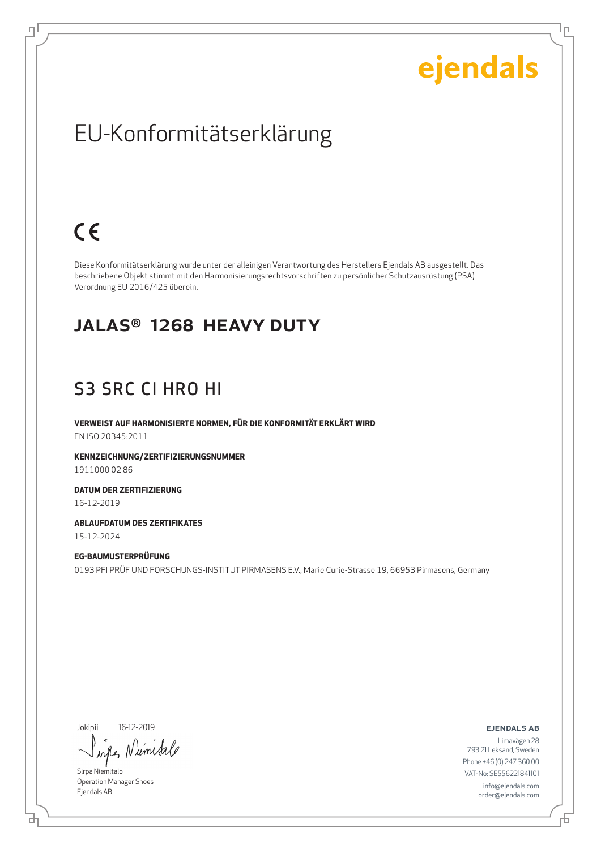Ļμ

### EU-Konformitätserklärung

### $C \in$

டி

Diese Konformitätserklärung wurde unter der alleinigen Verantwortung des Herstellers Ejendals AB ausgestellt. Das beschriebene Objekt stimmt mit den Harmonisierungsrechtsvorschriften zu persönlicher Schutzausrüstung (PSA) Verordnung EU 2016/425 überein.

#### JALAS® 1268 HEAVY DUTY

### S3 SRC CI HRO HI

**VERWEIST AUF HARMONISIERTE NORMEN, FÜR DIE KONFORMITÄT ERKLÄRT WIRD** EN ISO 20345:2011

**KENNZEICHNUNG/ZERTIFIZIERUNGSNUMMER** 1911000 02 86

**DATUM DER ZERTIFIZIERUNG** 16-12-2019

**ABLAUFDATUM DES ZERTIFIKATES** 15-12-2024

**EG-BAUMUSTERPRÜFUNG** 0193 PFI PRÜF UND FORSCHUNGS-INSTITUT PIRMASENS E.V., Marie Curie-Strasse 19, 66953 Pirmasens, Germany

Jokipii 16-12-2019

um Sa  $\lambda$ all

Sirpa Niemitalo Operation Manager Shoes Ejendals AB

ejendals ab

舌

브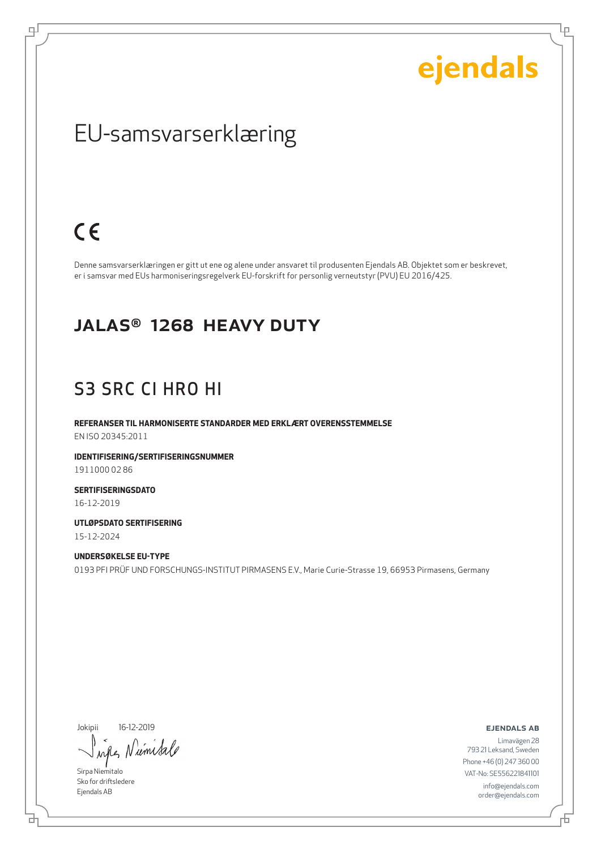Ļμ

### EU-samsvarserklæring

### $C \in$

டி

Denne samsvarserklæringen er gitt ut ene og alene under ansvaret til produsenten Ejendals AB. Objektet som er beskrevet, er i samsvar med EUs harmoniseringsregelverk EU-forskrift for personlig verneutstyr (PVU) EU 2016/425.

#### JALAS® 1268 HEAVY DUTY

#### S3 SRC CI HRO HI

**REFERANSER TIL HARMONISERTE STANDARDER MED ERKLÆRT OVERENSSTEMMELSE** EN ISO 20345:2011

**IDENTIFISERING/SERTIFISERINGSNUMMER** 1911000 02 86

**SERTIFISERINGSDATO** 16-12-2019

**UTLØPSDATO SERTIFISERING** 15-12-2024

**UNDERSØKELSE EU-TYPE** 0193 PFI PRÜF UND FORSCHUNGS-INSTITUT PIRMASENS E.V., Marie Curie-Strasse 19, 66953 Pirmasens, Germany

Jokipii 16-12-2019

Niemisa when

Sirpa Niemitalo Sko for driftsledere Ejendals AB

ejendals ab

브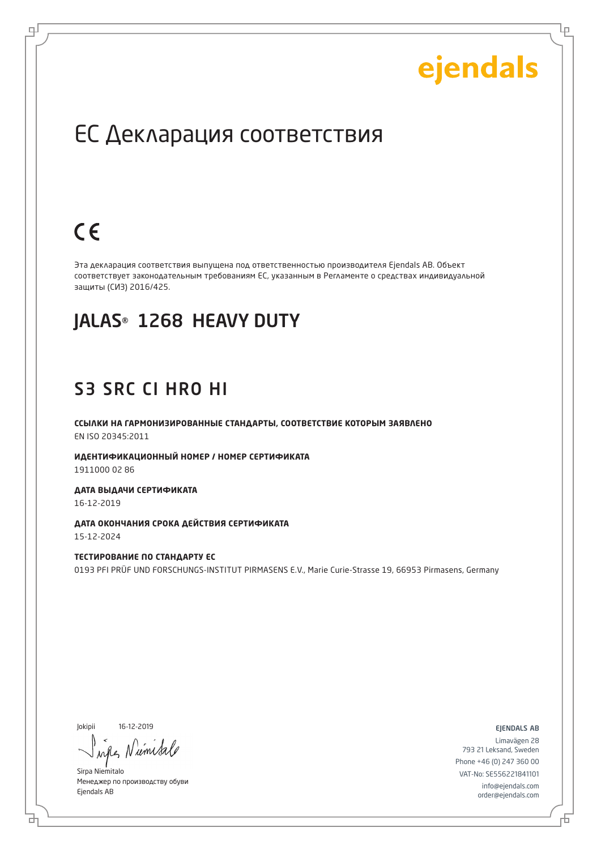Lр

### ЕС Декларация соответствия

### $C \in$

로

Эта декларация соответствия выпущена под ответственностью производителя Ejendals AB. Объект соответствует законодательным требованиям ЕС, указанным в Регламенте о средствах индивидуальной защиты (СИЗ) 2016/425.

### JALAS® 1268 HEAVY DUTY

#### S3 SRC CI HRO HI

**ССЫЛКИ НА ГАРМОНИЗИРОВАННЫЕ СТАНДАРТЫ, СООТВЕТСТВИЕ КОТОРЫМ ЗАЯВЛЕНО** EN ISO 20345:2011

**ИДЕНТИФИКАЦИОННЫЙ НОМЕР / НОМЕР СЕРТИФИКАТА** 1911000 02 86

**ДАТА ВЫДАЧИ СЕРТИФИКАТА** 16-12-2019

**ДАТА ОКОНЧАНИЯ СРОКА ДЕЙСТВИЯ СЕРТИФИКАТА** 15-12-2024

**ТЕСТИРОВАНИЕ ПО СТАНДАРТУ ЕС** 0193 PFI PRÜF UND FORSCHUNGS-INSTITUT PIRMASENS E.V., Marie Curie-Strasse 19, 66953 Pirmasens, Germany

Jokipii 16-12-2019

б

ume

Sirpa Niemitalo Менеджер по производству обуви Ejendals AB

ejendals ab

Б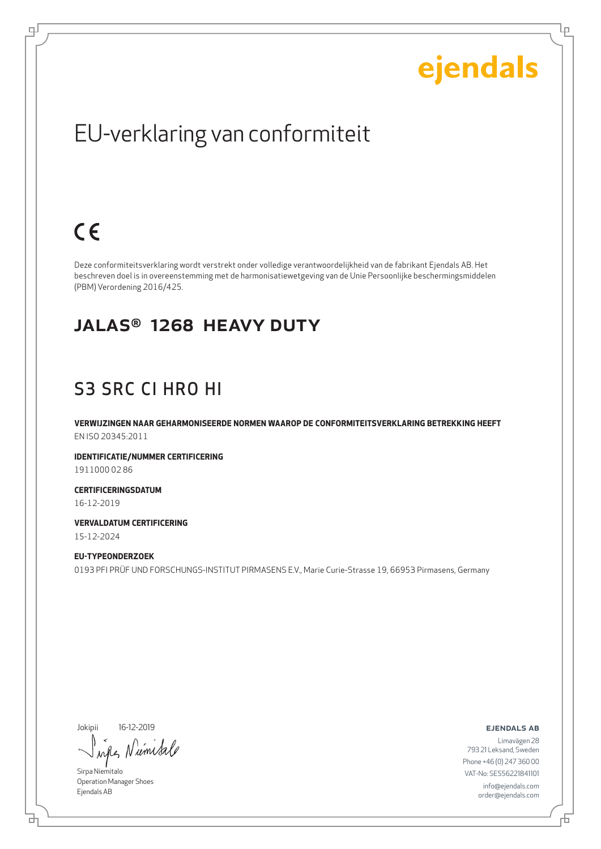Ļμ

### EU-verklaring van conformiteit

### $C \in$

டி

Deze conformiteitsverklaring wordt verstrekt onder volledige verantwoordelijkheid van de fabrikant Ejendals AB. Het beschreven doel is in overeenstemming met de harmonisatiewetgeving van de Unie Persoonlijke beschermingsmiddelen (PBM) Verordening 2016/425.

#### JALAS® 1268 HEAVY DUTY

#### S3 SRC CI HRO HI

**VERWIJZINGEN NAAR GEHARMONISEERDE NORMEN WAAROP DE CONFORMITEITSVERKLARING BETREKKING HEEFT** EN ISO 20345:2011

**IDENTIFICATIE/NUMMER CERTIFICERING** 1911000 02 86

**CERTIFICERINGSDATUM** 16-12-2019

**VERVALDATUM CERTIFICERING** 15-12-2024

**EU-TYPEONDERZOEK** 0193 PFI PRÜF UND FORSCHUNGS-INSTITUT PIRMASENS E.V., Marie Curie-Strasse 19, 66953 Pirmasens, Germany

Jokipii 16-12-2019

iemis  $\lambda \alpha \ell$ 

Sirpa Niemitalo Operation Manager Shoes Ejendals AB

ejendals ab

브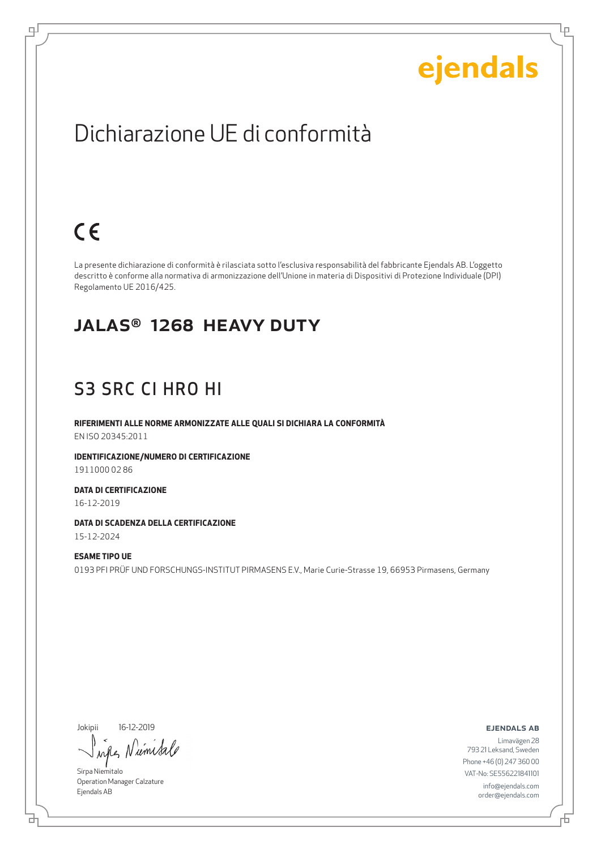Ļμ

### Dichiarazione UE di conformità

### $C \in$

டி

La presente dichiarazione di conformità è rilasciata sotto l'esclusiva responsabilità del fabbricante Ejendals AB. L'oggetto descritto è conforme alla normativa di armonizzazione dell'Unione in materia di Dispositivi di Protezione Individuale (DPI) Regolamento UE 2016/425.

#### JALAS® 1268 HEAVY DUTY

#### S3 SRC CI HRO HI

**RIFERIMENTI ALLE NORME ARMONIZZATE ALLE QUALI SI DICHIARA LA CONFORMITÀ** EN ISO 20345:2011

**IDENTIFICAZIONE/NUMERO DI CERTIFICAZIONE** 1911000 02 86

**DATA DI CERTIFICAZIONE** 16-12-2019

**DATA DI SCADENZA DELLA CERTIFICAZIONE** 15-12-2024

**ESAME TIPO UE** 0193 PFI PRÜF UND FORSCHUNGS-INSTITUT PIRMASENS E.V., Marie Curie-Strasse 19, 66953 Pirmasens, Germany

Jokipii 16-12-2019

umisa ru

Sirpa Niemitalo Operation Manager Calzature Ejendals AB

브

#### ejendals ab

Limavägen 28 793 21 Leksand, Sweden Phone +46 (0) 247 360 00 VAT-No: SE556221841101 info@ejendals.com order@ejendals.com

舌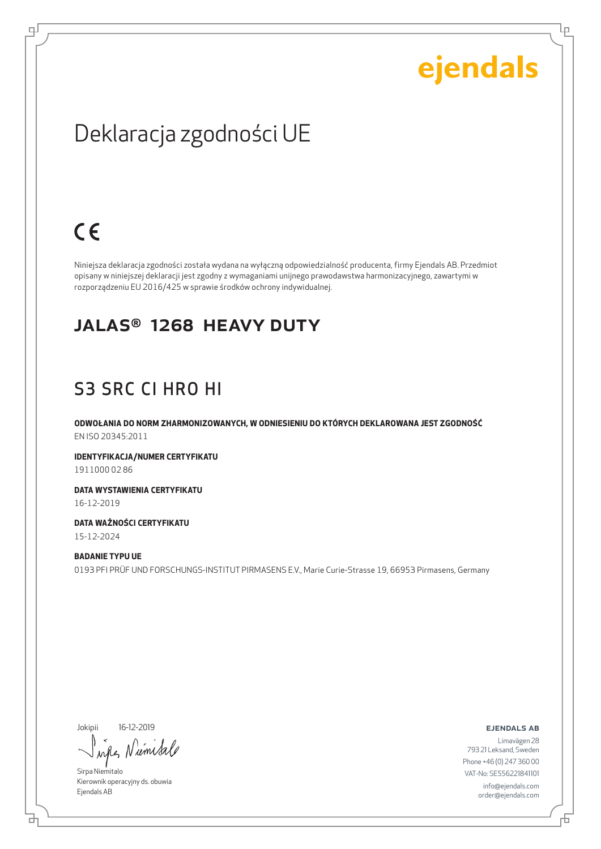Ļμ

### Deklaracja zgodności UE

### $C \in$

ᆗ

Niniejsza deklaracja zgodności została wydana na wyłączną odpowiedzialność producenta, firmy Ejendals AB. Przedmiot opisany w niniejszej deklaracji jest zgodny z wymaganiami unijnego prawodawstwa harmonizacyjnego, zawartymi w rozporządzeniu EU 2016/425 w sprawie środków ochrony indywidualnej.

#### JALAS® 1268 HEAVY DUTY

### S3 SRC CI HRO HI

**ODWOŁANIA DO NORM ZHARMONIZOWANYCH, W ODNIESIENIU DO KTÓRYCH DEKLAROWANA JEST ZGODNOŚĆ** EN ISO 20345:2011

**IDENTYFIKACJA/NUMER CERTYFIKATU** 1911000 02 86

**DATA WYSTAWIENIA CERTYFIKATU** 16-12-2019

**DATA WAŻNOŚCI CERTYFIKATU** 15-12-2024

**BADANIE TYPU UE** 0193 PFI PRÜF UND FORSCHUNGS-INSTITUT PIRMASENS E.V., Marie Curie-Strasse 19, 66953 Pirmasens, Germany

Jokipii 16-12-2019

б

umisa  $\lambda \alpha \ell$ 

Sirpa Niemitalo Kierownik operacyjny ds. obuwia Ejendals AB

ejendals ab

Limavägen 28 793 21 Leksand, Sweden Phone +46 (0) 247 360 00 VAT-No: SE556221841101 info@ejendals.com order@ejendals.com

Đ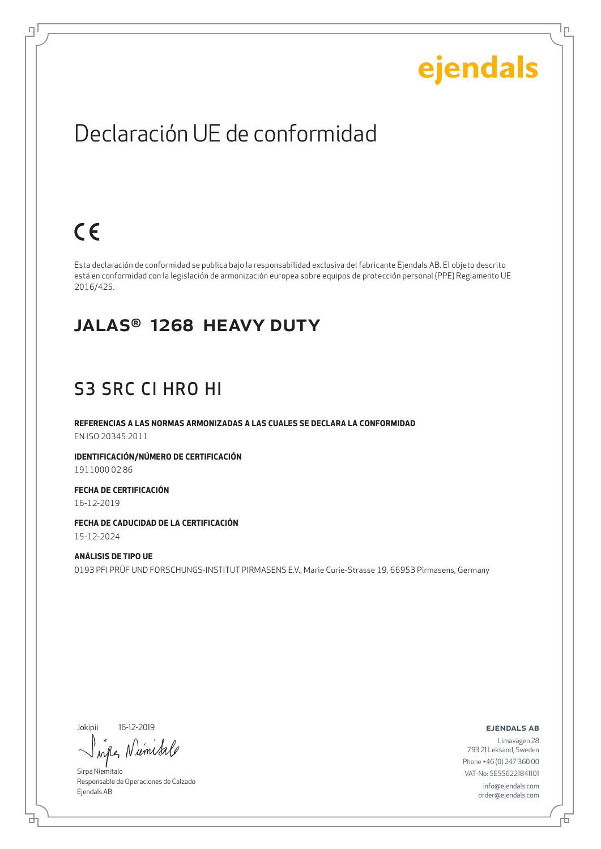Ļμ

### Declaración UE de conformidad

## $C \in$

ψ

Esta declaración de conformidad se publica bajo la responsabilidad exclusiva del fabricante Ejendals AB. El objeto descrito está en conformidad con la legislación de armonización europea sobre equipos de protección personal (PPE) Reglamento UE 2016/425.

#### JALAS® 1268 HEAVY DUTY

#### S3 SRC CI HRO HI

**REFERENCIAS A LAS NORMAS ARMONIZADAS A LAS CUALES SE DECLARA LA CONFORMIDAD** EN ISO 20345:2011

**IDENTIFICACIÓN/NÚMERO DE CERTIFICACIÓN** 1911000 02 86

**FECHA DE CERTIFICACIÓN** 16-12-2019

**FECHA DE CADUCIDAD DE LA CERTIFICACIÓN** 15-12-2024

**ANÁLISIS DE TIPO UE** 0193 PFI PRÜF UND FORSCHUNGS-INSTITUT PIRMASENS E.V., Marie Curie-Strasse 19, 66953 Pirmasens, Germany

Jokipii 16-12-2019

브

Numisa when

Sirpa Niemitalo Responsable de Operaciones de Calzado Ejendals AB

ejendals ab

Đ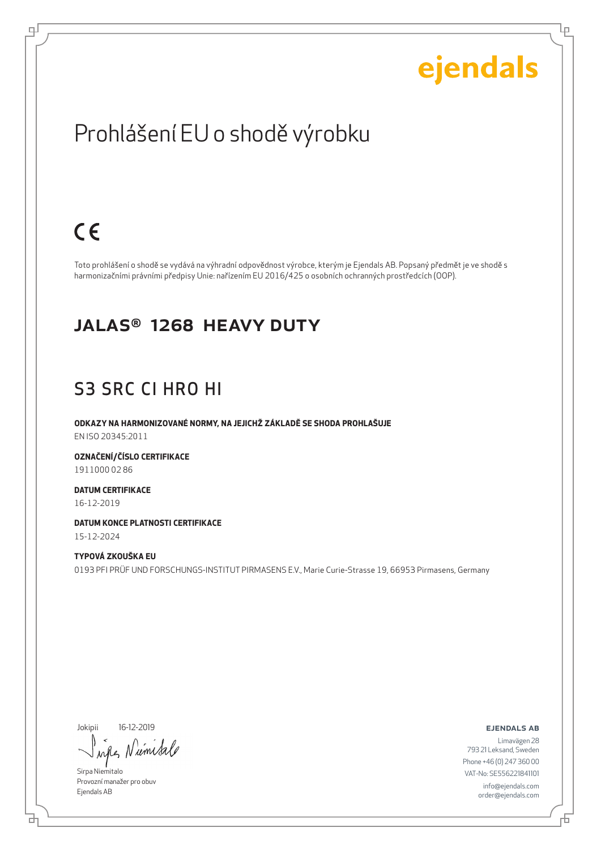Ļμ

### Prohlášení EU o shodě výrobku

### $C \in$

டி

Toto prohlášení o shodě se vydává na výhradní odpovědnost výrobce, kterým je Ejendals AB. Popsaný předmět je ve shodě s harmonizačními právními předpisy Unie: nařízením EU 2016/425 o osobních ochranných prostředcích (OOP).

#### JALAS® 1268 HEAVY DUTY

#### S3 SRC CI HRO HI

**ODKAZY NA HARMONIZOVANÉ NORMY, NA JEJICHŽ ZÁKLADĚ SE SHODA PROHLAŠUJE** EN ISO 20345:2011

**OZNAČENÍ/ČÍSLO CERTIFIKACE** 1911000 02 86

**DATUM CERTIFIKACE** 16-12-2019

**DATUM KONCE PLATNOSTI CERTIFIKACE**

15-12-2024

**TYPOVÁ ZKOUŠKA EU** 0193 PFI PRÜF UND FORSCHUNGS-INSTITUT PIRMASENS E.V., Marie Curie-Strasse 19, 66953 Pirmasens, Germany

Jokipii 16-12-2019

umisa  $\lambda$ all

Sirpa Niemitalo Provozní manažer pro obuv Ejendals AB

ejendals ab

舌

브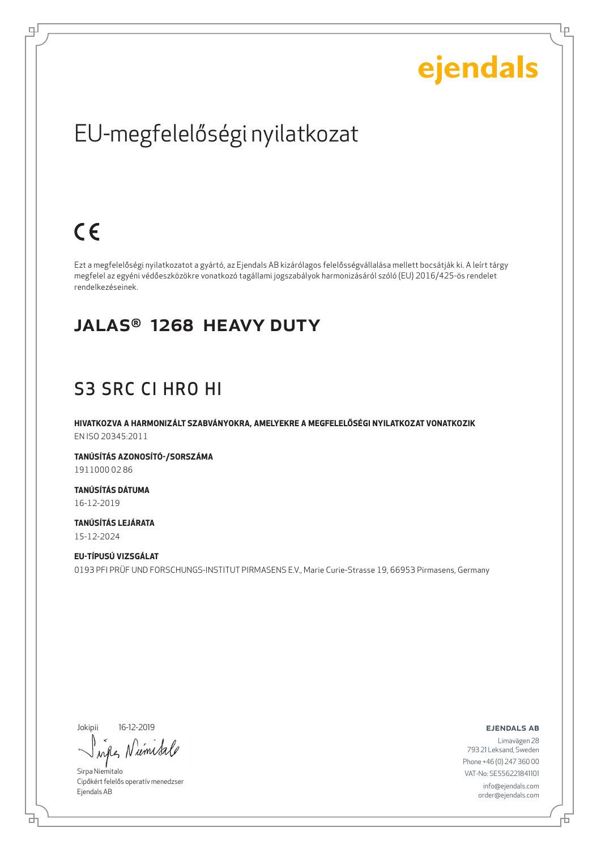Ļμ

## EU-megfelelőségi nyilatkozat

### $C \in$

ᆗ

Ezt a megfelelőségi nyilatkozatot a gyártó, az Ejendals AB kizárólagos felelősségvállalása mellett bocsátják ki. A leírt tárgy megfelel az egyéni védőeszközökre vonatkozó tagállami jogszabályok harmonizásáról szóló (EU) 2016/425-ös rendelet rendelkezéseinek.

#### JALAS® 1268 HEAVY DUTY

#### S3 SRC CI HRO HI

**HIVATKOZVA A HARMONIZÁLT SZABVÁNYOKRA, AMELYEKRE A MEGFELELŐSÉGI NYILATKOZAT VONATKOZIK** EN ISO 20345:2011

**TANÚSÍTÁS AZONOSÍTÓ-/SORSZÁMA** 1911000 02 86

**TANÚSÍTÁS DÁTUMA** 16-12-2019

**TANÚSÍTÁS LEJÁRATA** 15-12-2024

**EU-TÍPUSÚ VIZSGÁLAT** 0193 PFI PRÜF UND FORSCHUNGS-INSTITUT PIRMASENS E.V., Marie Curie-Strasse 19, 66953 Pirmasens, Germany

Jokipii 16-12-2019

umisa  $\lambda$ n

Sirpa Niemitalo Cipőkért felelős operatív menedzser Ejendals AB

ejendals ab

₫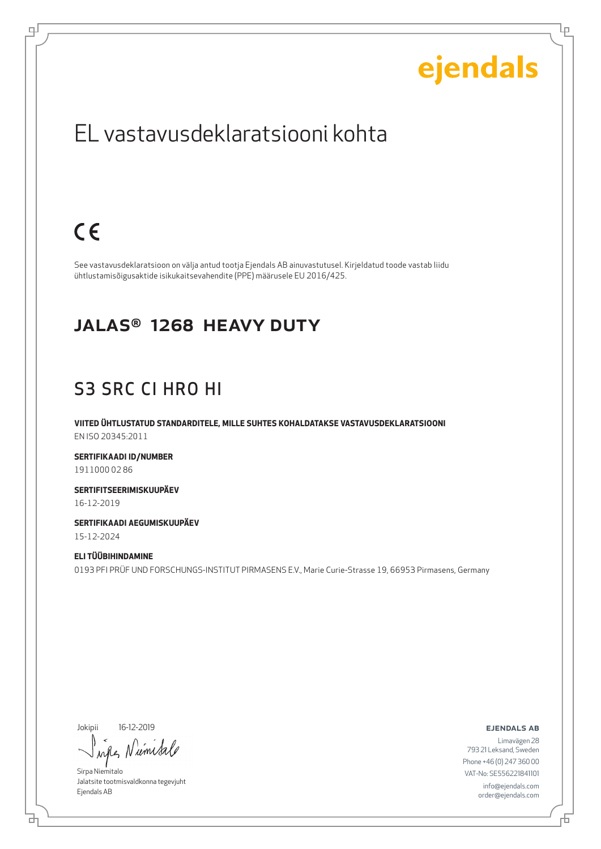Ļμ

### EL vastavusdeklaratsiooni kohta

## $C \in$

டி

See vastavusdeklaratsioon on välja antud tootja Ejendals AB ainuvastutusel. Kirjeldatud toode vastab liidu ühtlustamisõigusaktide isikukaitsevahendite (PPE) määrusele EU 2016/425.

#### JALAS® 1268 HEAVY DUTY

### S3 SRC CI HRO HI

**VIITED ÜHTLUSTATUD STANDARDITELE, MILLE SUHTES KOHALDATAKSE VASTAVUSDEKLARATSIOONI** EN ISO 20345:2011

**SERTIFIKAADI ID/NUMBER** 1911000 02 86

**SERTIFITSEERIMISKUUPÄEV** 16-12-2019

**SERTIFIKAADI AEGUMISKUUPÄEV** 15-12-2024

**ELI TÜÜBIHINDAMINE** 0193 PFI PRÜF UND FORSCHUNGS-INSTITUT PIRMASENS E.V., Marie Curie-Strasse 19, 66953 Pirmasens, Germany

Jokipii 16-12-2019

브

Niemisa  $\lambda \alpha \ell$ 

Sirpa Niemitalo Jalatsite tootmisvaldkonna tegevjuht Ejendals AB

#### ejendals ab

Đ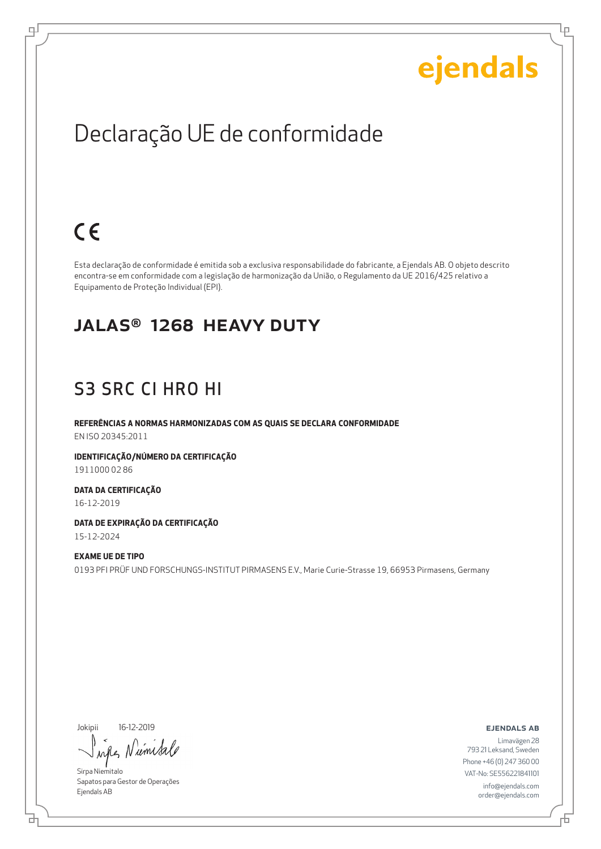Ļμ

### Declaração UE de conformidade

## $C \in$

ψ

Esta declaração de conformidade é emitida sob a exclusiva responsabilidade do fabricante, a Ejendals AB. O objeto descrito encontra-se em conformidade com a legislação de harmonização da União, o Regulamento da UE 2016/425 relativo a Equipamento de Proteção Individual (EPI).

#### JALAS® 1268 HEAVY DUTY

#### S3 SRC CI HRO HI

**REFERÊNCIAS A NORMAS HARMONIZADAS COM AS QUAIS SE DECLARA CONFORMIDADE** EN ISO 20345:2011

**IDENTIFICAÇÃO/NÚMERO DA CERTIFICAÇÃO** 1911000 02 86

**DATA DA CERTIFICAÇÃO** 16-12-2019

**DATA DE EXPIRAÇÃO DA CERTIFICAÇÃO** 15-12-2024

**EXAME UE DE TIPO** 0193 PFI PRÜF UND FORSCHUNGS-INSTITUT PIRMASENS E.V., Marie Curie-Strasse 19, 66953 Pirmasens, Germany

Jokipii 16-12-2019

₫

 $\mu$ *M* 

Sirpa Niemitalo Sapatos para Gestor de Operações Ejendals AB

ejendals ab

Б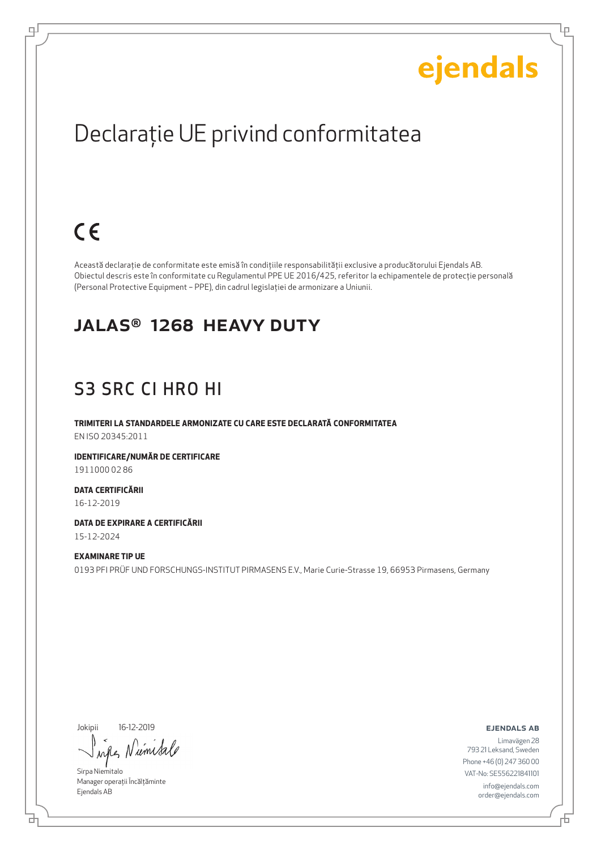Lр

## Declaraţie UE privind conformitatea

## $C \in$

ψ

Această declaraţie de conformitate este emisă în condiţiile responsabilităţii exclusive a producătorului Ejendals AB. Obiectul descris este în conformitate cu Regulamentul PPE UE 2016/425, referitor la echipamentele de protecţie personală (Personal Protective Equipment – PPE), din cadrul legislaţiei de armonizare a Uniunii.

#### JALAS® 1268 HEAVY DUTY

### S3 SRC CI HRO HI

**TRIMITERI LA STANDARDELE ARMONIZATE CU CARE ESTE DECLARATĂ CONFORMITATEA** EN ISO 20345:2011

**IDENTIFICARE/NUMĂR DE CERTIFICARE** 1911000 02 86

**DATA CERTIFICĂRII** 16-12-2019

**DATA DE EXPIRARE A CERTIFICĂRII** 15-12-2024

#### **EXAMINARE TIP UE**

0193 PFI PRÜF UND FORSCHUNGS-INSTITUT PIRMASENS E.V., Marie Curie-Strasse 19, 66953 Pirmasens, Germany

Jokipii 16-12-2019

um

Sirpa Niemitalo Manager operații Încălțăminte Ejendals AB

ejendals ab

Limavägen 28 793 21 Leksand, Sweden Phone +46 (0) 247 360 00 VAT-No: SE556221841101 info@ejendals.com order@ejendals.com

б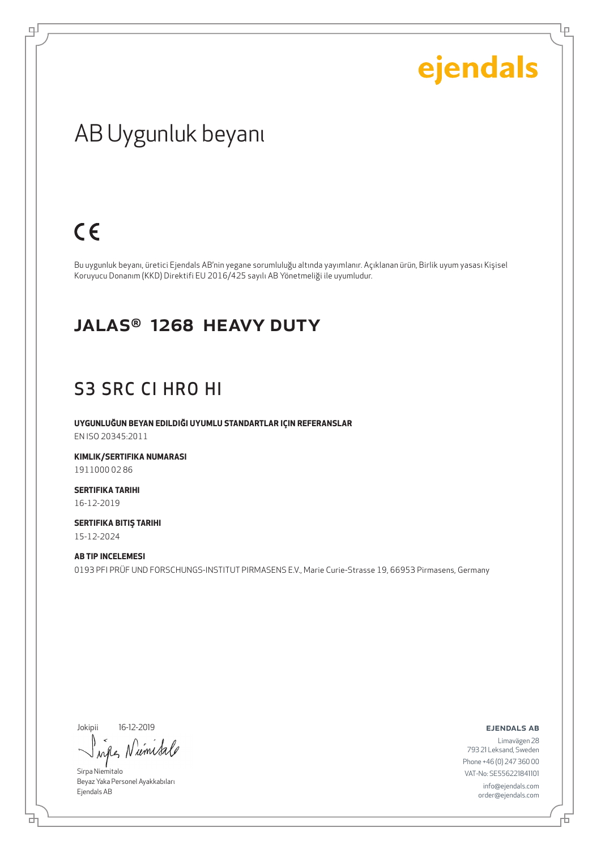Ļμ

### AB Uygunluk beyanı

### $C \in$

டி

Bu uygunluk beyanı, üretici Ejendals AB'nin yegane sorumluluğu altında yayımlanır. Açıklanan ürün, Birlik uyum yasası Kişisel Koruyucu Donanım (KKD) Direktifi EU 2016/425 sayılı AB Yönetmeliği ile uyumludur.

#### JALAS® 1268 HEAVY DUTY

#### S3 SRC CI HRO HI

**UYGUNLUĞUN BEYAN EDILDIĞI UYUMLU STANDARTLAR IÇIN REFERANSLAR** EN ISO 20345:2011

**KIMLIK/SERTIFIKA NUMARASI** 1911000 02 86

**SERTIFIKA TARIHI** 16-12-2019

**SERTIFIKA BITIŞ TARIHI** 15-12-2024

#### **AB TIP INCELEMESI**

0193 PFI PRÜF UND FORSCHUNGS-INSTITUT PIRMASENS E.V., Marie Curie-Strasse 19, 66953 Pirmasens, Germany

Jokipii 16-12-2019

브

when Numisa

Sirpa Niemitalo Beyaz Yaka Personel Ayakkabıları Ejendals AB

ejendals ab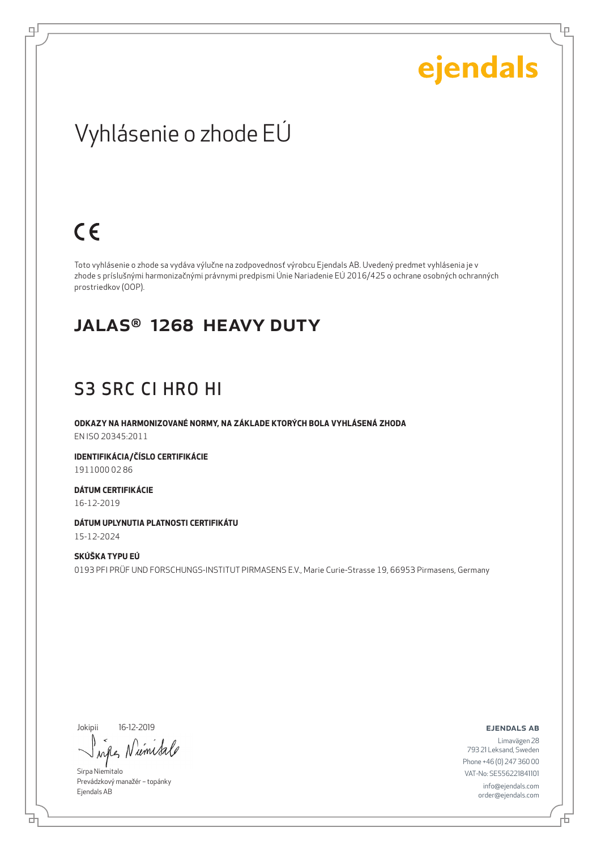Ļμ

### Vyhlásenie o zhode EÚ

### $C \in$

ψ

Toto vyhlásenie o zhode sa vydáva výlučne na zodpovednosť výrobcu Ejendals AB. Uvedený predmet vyhlásenia je v zhode s príslušnými harmonizačnými právnymi predpismi Únie Nariadenie EÚ 2016/425 o ochrane osobných ochranných prostriedkov (OOP).

#### JALAS® 1268 HEAVY DUTY

#### S3 SRC CI HRO HI

**ODKAZY NA HARMONIZOVANÉ NORMY, NA ZÁKLADE KTORÝCH BOLA VYHLÁSENÁ ZHODA** EN ISO 20345:2011

**IDENTIFIKÁCIA/ČÍSLO CERTIFIKÁCIE** 1911000 02 86

**DÁTUM CERTIFIKÁCIE** 16-12-2019

**DÁTUM UPLYNUTIA PLATNOSTI CERTIFIKÁTU** 15-12-2024

**SKÚŠKA TYPU EÚ** 0193 PFI PRÜF UND FORSCHUNGS-INSTITUT PIRMASENS E.V., Marie Curie-Strasse 19, 66953 Pirmasens, Germany

Jokipii 16-12-2019

브

um  $\lambda \alpha \ell$ 

Sirpa Niemitalo Prevádzkový manažér – topánky Ejendals AB

ejendals ab

Đ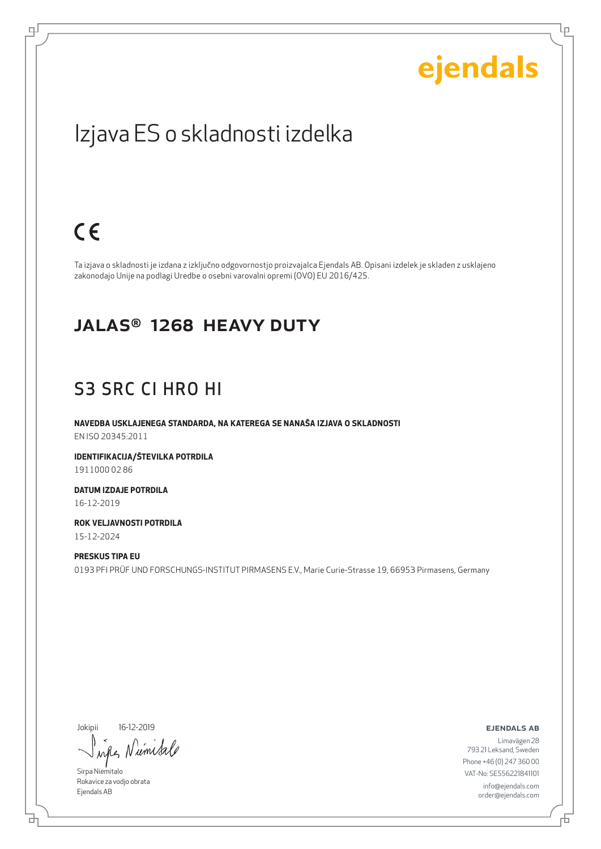Ļμ

### Izjava ES o skladnosti izdelka

### $C \in$

ψ

Ta izjava o skladnosti je izdana z izključno odgovornostjo proizvajalca Ejendals AB. Opisani izdelek je skladen z usklajeno zakonodajo Unije na podlagi Uredbe o osebni varovalni opremi (OVO) EU 2016/425.

#### JALAS® 1268 HEAVY DUTY

#### S3 SRC CI HRO HI

**NAVEDBA USKLAJENEGA STANDARDA, NA KATEREGA SE NANAŠA IZJAVA O SKLADNOSTI** EN ISO 20345:2011

**IDENTIFIKACIJA/ŠTEVILKA POTRDILA** 1911000 02 86

**DATUM IZDAJE POTRDILA** 16-12-2019

**ROK VELJAVNOSTI POTRDILA** 15-12-2024

**PRESKUS TIPA EU** 0193 PFI PRÜF UND FORSCHUNGS-INSTITUT PIRMASENS E.V., Marie Curie-Strasse 19, 66953 Pirmasens, Germany

Jokipii 16-12-2019

umsa  $\lambda \alpha \mathcal{N}$ 

Sirpa Niemitalo Rokavice za vodjo obrata Ejendals AB

브

ejendals ab

舌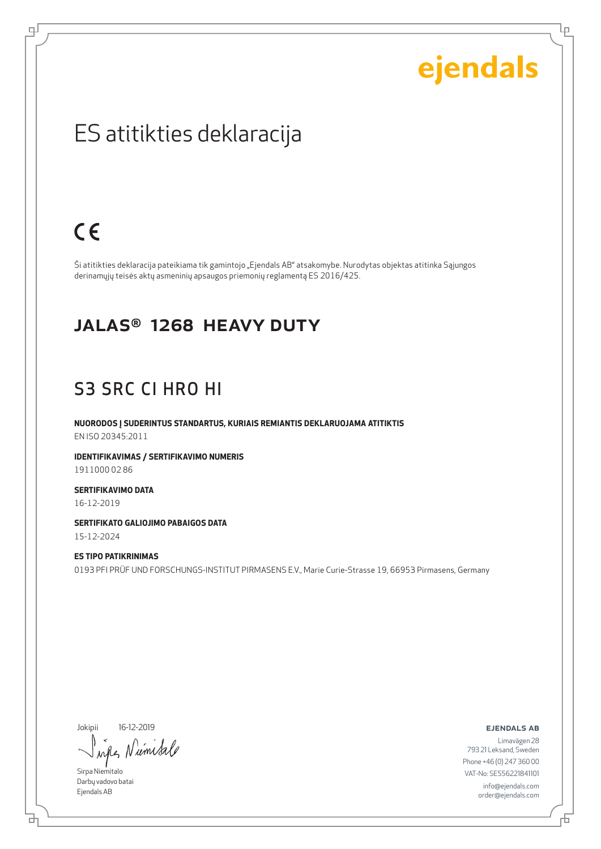Ļμ

### ES atitikties deklaracija

### $C \in$

டி

Ši atitikties deklaracija pateikiama tik gamintojo "Ejendals AB" atsakomybe. Nurodytas objektas atitinka Sąjungos derinamųjų teisės aktų asmeninių apsaugos priemonių reglamentą ES 2016/425.

#### JALAS® 1268 HEAVY DUTY

#### S3 SRC CI HRO HI

**NUORODOS Į SUDERINTUS STANDARTUS, KURIAIS REMIANTIS DEKLARUOJAMA ATITIKTIS** EN ISO 20345:2011

**IDENTIFIKAVIMAS / SERTIFIKAVIMO NUMERIS** 1911000 02 86

**SERTIFIKAVIMO DATA** 16-12-2019

**SERTIFIKATO GALIOJIMO PABAIGOS DATA** 15-12-2024

**ES TIPO PATIKRINIMAS** 0193 PFI PRÜF UND FORSCHUNGS-INSTITUT PIRMASENS E.V., Marie Curie-Strasse 19, 66953 Pirmasens, Germany

Jokipii 16-12-2019

Niemisa when

Sirpa Niemitalo Darbų vadovo batai Ejendals AB

ejendals ab

브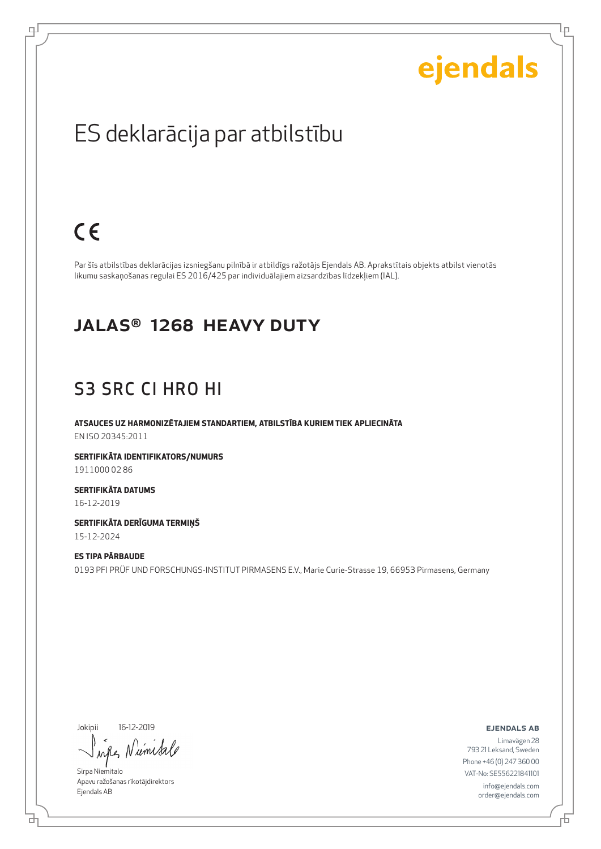Ļμ

### ES deklarācija par atbilstību

### $C \in$

ψ

Par šīs atbilstības deklarācijas izsniegšanu pilnībā ir atbildīgs ražotājs Ejendals AB. Aprakstītais objekts atbilst vienotās likumu saskaņošanas regulai ES 2016/425 par individuālajiem aizsardzības līdzekļiem (IAL).

#### JALAS® 1268 HEAVY DUTY

#### S3 SRC CI HRO HI

**ATSAUCES UZ HARMONIZĒTAJIEM STANDARTIEM, ATBILSTĪBA KURIEM TIEK APLIECINĀTA** EN ISO 20345:2011

**SERTIFIKĀTA IDENTIFIKATORS/NUMURS** 1911000 02 86

**SERTIFIKĀTA DATUMS** 16-12-2019

**SERTIFIKĀTA DERĪGUMA TERMIŅŠ** 15-12-2024

**ES TIPA PĀRBAUDE** 0193 PFI PRÜF UND FORSCHUNGS-INSTITUT PIRMASENS E.V., Marie Curie-Strasse 19, 66953 Pirmasens, Germany

Jokipii 16-12-2019

um  $\lambda \alpha \ell$ 

Sirpa Niemitalo Apavu ražošanas rīkotājdirektors Ejendals AB

ejendals ab

브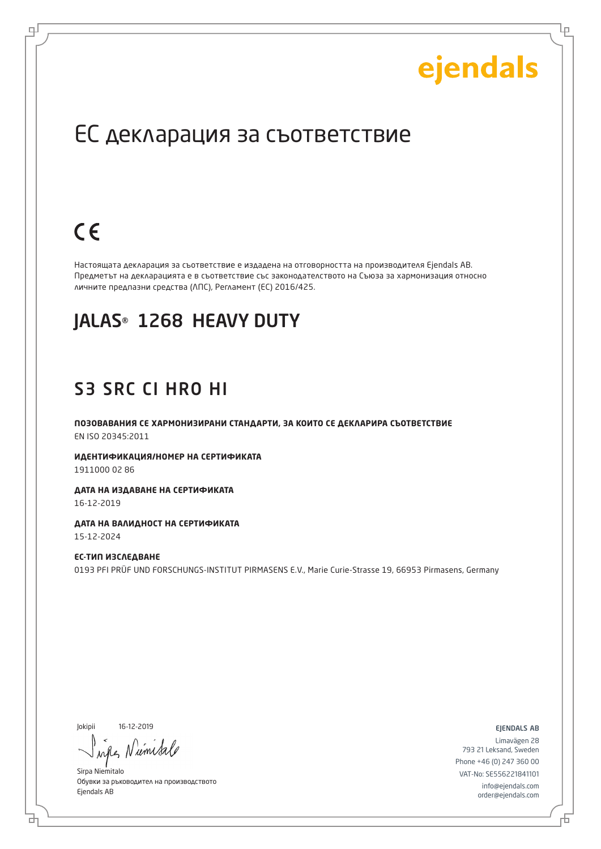Lр

### ЕС декларация за съответствие

## $C \in$

로

Настоящата декларация за съответствие е издадена на отговорността на производителя Ejendals AB. Предметът на декларацията е в съответствие със законодателството на Съюза за хармонизация относно личните предпазни средства (ЛПС), Регламент (ЕС) 2016/425.

#### JALAS® 1268 HEAVY DUTY

#### S3 SRC CI HRO HI

**ПОЗОВАВАНИЯ СЕ ХАРМОНИЗИРАНИ СТАНДАРТИ, ЗА КОИТО СЕ ДЕКЛАРИРА СЪОТВЕТСТВИЕ** EN ISO 20345:2011

**ИДЕНТИФИКАЦИЯ/НОМЕР НА СЕРТИФИКАТА** 1911000 02 86

**ДАТА НА ИЗДАВАНЕ НА СЕРТИФИКАТА** 16-12-2019

**ДАТА НА ВАЛИДНОСТ НА СЕРТИФИКАТА** 15-12-2024

**ЕС-ТИП ИЗСЛЕДВАНЕ** 0193 PFI PRÜF UND FORSCHUNGS-INSTITUT PIRMASENS E.V., Marie Curie-Strasse 19, 66953 Pirmasens, Germany

Jokipii 16-12-2019

б

ume

Sirpa Niemitalo Обувки за ръководител на производството Ejendals AB

ejendals ab

Б